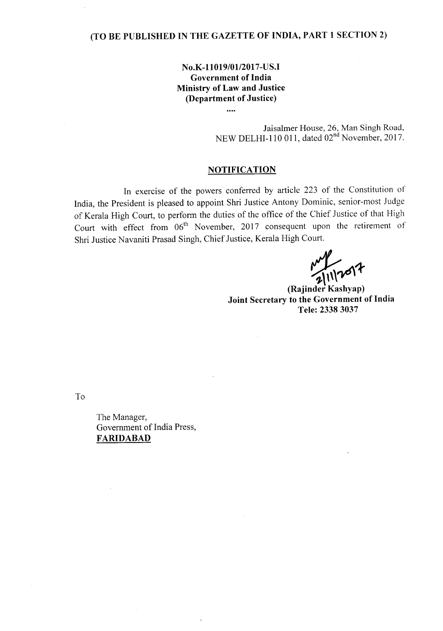# **(TO BE PUBLISHED IN THE GAZETTE OF INDIA, PART 1 SECTION 2)**

## **No.K-l1019/01l2017-US.I Government of India Ministry of Law and Justice (Department of Justice)**

 $\ddotsc$ 

Jaisalmer House, 26, Man Singh Road, NEW DELHI-110 011, dated 02<sup>nd</sup> November, 2017.

### **NOTIFICATION**

In exercise of the powers conferred by article 223 of the Constitution of India, the President is pleased to appoint Shri Justice Antony Dominic, senior-most Judge of Kerala High Court, to perform the duties of the office of the Chief Justice of that High Court with effect from 06<sup>th</sup> November, 2017 consequent upon the retirement of Shri Justice Navaniti Prasad Singh, Chief Justice, Kerala High Court.

11/2017

**(Rajinder Kashyap) Joint Secretary to the Government of India Tele: 23383037**

To

The Manager, Government of India Press, **FARIDABAD**